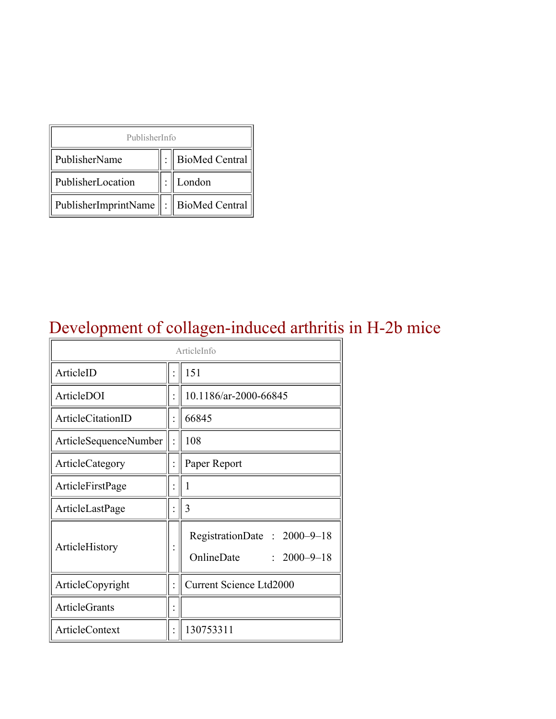| PublisherInfo                               |  |                    |  |  |
|---------------------------------------------|--|--------------------|--|--|
| PublisherName                               |  | :   BioMed Central |  |  |
| PublisherLocation                           |  | London             |  |  |
| PublisherImprintName    :    BioMed Central |  |                    |  |  |

## Development of collagen-induced arthritis in H-2b mice

| ArticleInfo           |  |                                                                |  |
|-----------------------|--|----------------------------------------------------------------|--|
| ArticleID             |  | 151                                                            |  |
| ArticleDOI            |  | 10.1186/ar-2000-66845                                          |  |
| ArticleCitationID     |  | 66845                                                          |  |
| ArticleSequenceNumber |  | 108                                                            |  |
| ArticleCategory       |  | Paper Report                                                   |  |
| ArticleFirstPage      |  | 1                                                              |  |
| ArticleLastPage       |  | 3                                                              |  |
| ArticleHistory        |  | RegistrationDate: 2000-9-18<br>OnlineDate<br>$: 2000 - 9 - 18$ |  |
| ArticleCopyright      |  | <b>Current Science Ltd2000</b>                                 |  |
| <b>ArticleGrants</b>  |  |                                                                |  |
| <b>ArticleContext</b> |  | 130753311                                                      |  |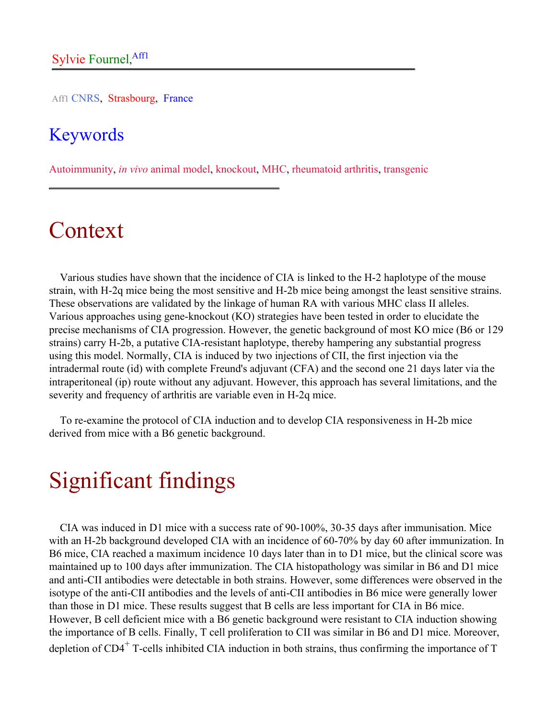Aff1 CNRS, Strasbourg, France

#### Keywords

Autoimmunity, *in vivo* animal model, knockout, MHC, rheumatoid arthritis, transgenic

## Context

Various studies have shown that the incidence of CIA is linked to the H-2 haplotype of the mouse strain, with H-2q mice being the most sensitive and H-2b mice being amongst the least sensitive strains. These observations are validated by the linkage of human RA with various MHC class II alleles. Various approaches using gene-knockout (KO) strategies have been tested in order to elucidate the precise mechanisms of CIA progression. However, the genetic background of most KO mice (B6 or 129 strains) carry H-2b, a putative CIA-resistant haplotype, thereby hampering any substantial progress using this model. Normally, CIA is induced by two injections of CII, the first injection via the intradermal route (id) with complete Freund's adjuvant (CFA) and the second one 21 days later via the intraperitoneal (ip) route without any adjuvant. However, this approach has several limitations, and the severity and frequency of arthritis are variable even in H-2q mice.

To re-examine the protocol of CIA induction and to develop CIA responsiveness in H-2b mice derived from mice with a B6 genetic background.

# Significant findings

CIA was induced in D1 mice with a success rate of 90-100%, 30-35 days after immunisation. Mice with an H-2b background developed CIA with an incidence of 60-70% by day 60 after immunization. In B6 mice, CIA reached a maximum incidence 10 days later than in to D1 mice, but the clinical score was maintained up to 100 days after immunization. The CIA histopathology was similar in B6 and D1 mice and anti-CII antibodies were detectable in both strains. However, some differences were observed in the isotype of the anti-CII antibodies and the levels of anti-CII antibodies in B6 mice were generally lower than those in D1 mice. These results suggest that B cells are less important for CIA in B6 mice. However, B cell deficient mice with a B6 genetic background were resistant to CIA induction showing the importance of B cells. Finally, T cell proliferation to CII was similar in B6 and D1 mice. Moreover, depletion of CD4<sup>+</sup> T-cells inhibited CIA induction in both strains, thus confirming the importance of T